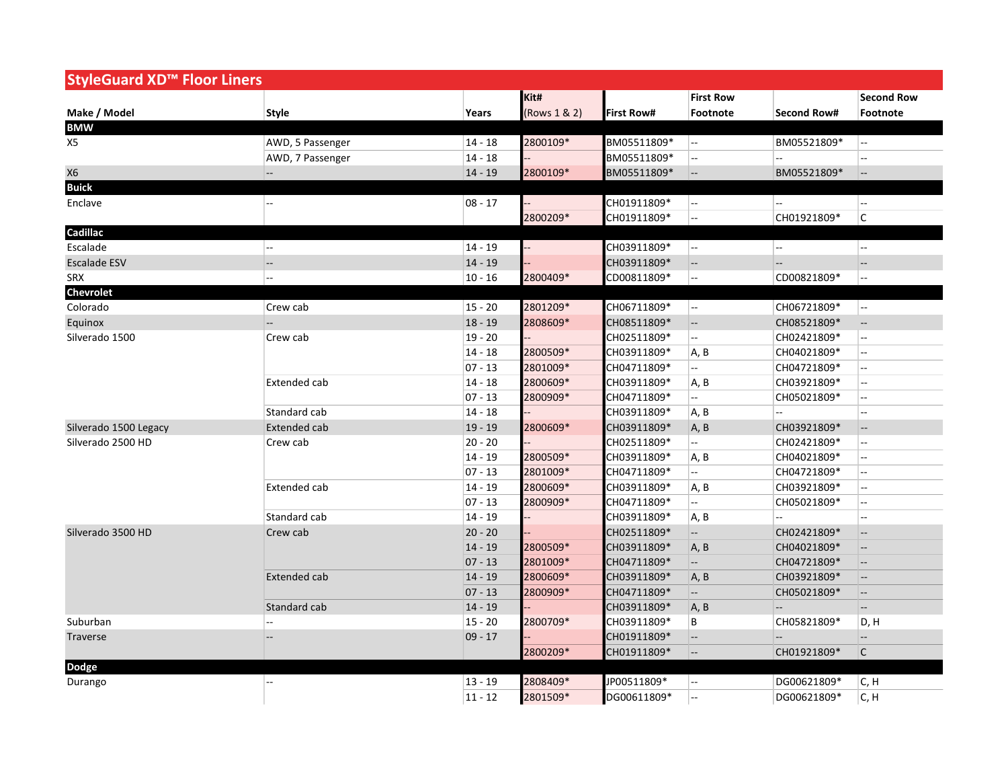| StyleGuard XD™ Floor Liners |                          |           |              |                   |                          |                          |                                                     |
|-----------------------------|--------------------------|-----------|--------------|-------------------|--------------------------|--------------------------|-----------------------------------------------------|
|                             |                          |           | Kit#         |                   | <b>First Row</b>         |                          | <b>Second Row</b>                                   |
| Make / Model                | <b>Style</b>             | Years     | (Rows 1 & 2) | <b>First Row#</b> | Footnote                 | <b>Second Row#</b>       | Footnote                                            |
| <b>BMW</b>                  |                          |           |              |                   |                          |                          |                                                     |
| X5                          | AWD, 5 Passenger         | $14 - 18$ | 2800109*     | BM05511809*       | Ξ.                       | BM05521809*              | Ξ.                                                  |
|                             | AWD, 7 Passenger         | $14 - 18$ |              | BM05511809*       | Ξ.                       | Ξ.                       | --                                                  |
| X6                          | $\overline{\phantom{a}}$ | $14 - 19$ | 2800109*     | BM05511809*       | $\overline{\phantom{a}}$ | BM05521809*              | --                                                  |
| <b>Buick</b>                |                          |           |              |                   |                          |                          |                                                     |
| Enclave                     | ц.                       | $08 - 17$ |              | CH01911809*       | цц.                      | цú.                      | ц.                                                  |
|                             |                          |           | 2800209*     | CH01911809*       | --                       | CH01921809*              | С                                                   |
| Cadillac                    |                          |           |              |                   |                          |                          |                                                     |
| Escalade                    | Ξ.                       | $14 - 19$ |              | CH03911809*       | цĹ,                      | $\overline{\phantom{a}}$ | --                                                  |
| <b>Escalade ESV</b>         | $\overline{\phantom{a}}$ | $14 - 19$ |              | CH03911809*       | --                       | $\overline{\phantom{a}}$ | $\overline{\phantom{a}}$                            |
| <b>SRX</b>                  | --                       | $10 - 16$ | 2800409*     | CD00811809*       | --                       | CD00821809*              | Ξ.                                                  |
| Chevrolet                   |                          |           |              |                   |                          |                          |                                                     |
| Colorado                    | Crew cab                 | $15 - 20$ | 2801209*     | CH06711809*       | $\overline{\phantom{a}}$ | CH06721809*              | цц.                                                 |
| Equinox                     | ÷,                       | $18 - 19$ | 2808609*     | CH08511809*       | --                       | CH08521809*              | $\overline{\phantom{a}}$                            |
| Silverado 1500              | Crew cab                 | $19 - 20$ |              | CH02511809*       | --                       | CH02421809*              | Щ,                                                  |
|                             |                          | $14 - 18$ | 2800509*     | CH03911809*       | A, B                     | CH04021809*              | --                                                  |
|                             |                          | $07 - 13$ | 2801009*     | CH04711809*       |                          | CH04721809*              | Щ.                                                  |
|                             | Extended cab             | $14 - 18$ | 2800609*     | CH03911809*       | A, B                     | CH03921809*              | --                                                  |
|                             |                          | $07 - 13$ | 2800909*     | CH04711809*       | u.                       | CH05021809*              | --                                                  |
|                             | Standard cab             | $14 - 18$ |              | CH03911809*       | A, B                     | щ.                       | --                                                  |
| Silverado 1500 Legacy       | Extended cab             | $19 - 19$ | 2800609*     | CH03911809*       | A, B                     | CH03921809*              | u.                                                  |
| Silverado 2500 HD           | Crew cab                 | $20 - 20$ |              | CH02511809*       | Ξ.                       | CH02421809*              | Щ.                                                  |
|                             |                          | $14 - 19$ | 2800509*     | CH03911809*       | A, B                     | CH04021809*              | --                                                  |
|                             |                          | $07 - 13$ | 2801009*     | CH04711809*       | Щ.                       | CH04721809*              | Щ.                                                  |
|                             | Extended cab             | $14 - 19$ | 2800609*     | CH03911809*       | A, B                     | CH03921809*              | Ξ.                                                  |
|                             |                          | $07 - 13$ | 2800909*     | CH04711809*       | $-$                      | CH05021809*              | Ξ.                                                  |
|                             | Standard cab             | $14 - 19$ |              | CH03911809*       | A, B                     |                          | --                                                  |
| Silverado 3500 HD           | Crew cab                 | $20 - 20$ |              | CH02511809*       | Щ,                       | CH02421809*              | $\overline{\phantom{m}}$                            |
|                             |                          | $14 - 19$ | 2800509*     | CH03911809*       | A, B                     | CH04021809*              | $\overline{\phantom{a}}$                            |
|                             |                          | $07 - 13$ | 2801009*     | CH04711809*       | μĒ,                      | CH04721809*              | $\hspace{0.05cm} -\hspace{0.05cm} -\hspace{0.05cm}$ |
|                             | <b>Extended cab</b>      | $14 - 19$ | 2800609*     | CH03911809*       | A, B                     | CH03921809*              | $\overline{\phantom{a}}$                            |
|                             |                          | $07 - 13$ | 2800909*     | CH04711809*       | Щ,                       | CH05021809*              | $\overline{\phantom{a}}$                            |
|                             | Standard cab             | $14 - 19$ |              | CH03911809*       | A, B                     | μĒ,                      | Щ.                                                  |
| Suburban                    | --                       | $15 - 20$ | 2800709*     | CH03911809*       | B                        | CH05821809*              | D, H                                                |
| Traverse                    |                          | $09 - 17$ |              | CH01911809*       | $\overline{\phantom{a}}$ | $-$                      | $\overline{\phantom{a}}$                            |
|                             |                          |           | 2800209*     | CH01911809*       | $\overline{\phantom{a}}$ | CH01921809*              | $\mathsf{C}$                                        |
| Dodge                       |                          |           |              |                   |                          |                          |                                                     |
| Durango                     | ÷.                       | $13 - 19$ | 2808409*     | JP00511809*       | $\overline{a}$           | DG00621809*              | C, H                                                |
|                             |                          | $11 - 12$ | 2801509*     | DG00611809*       | Щ,                       | DG00621809*              | C, H                                                |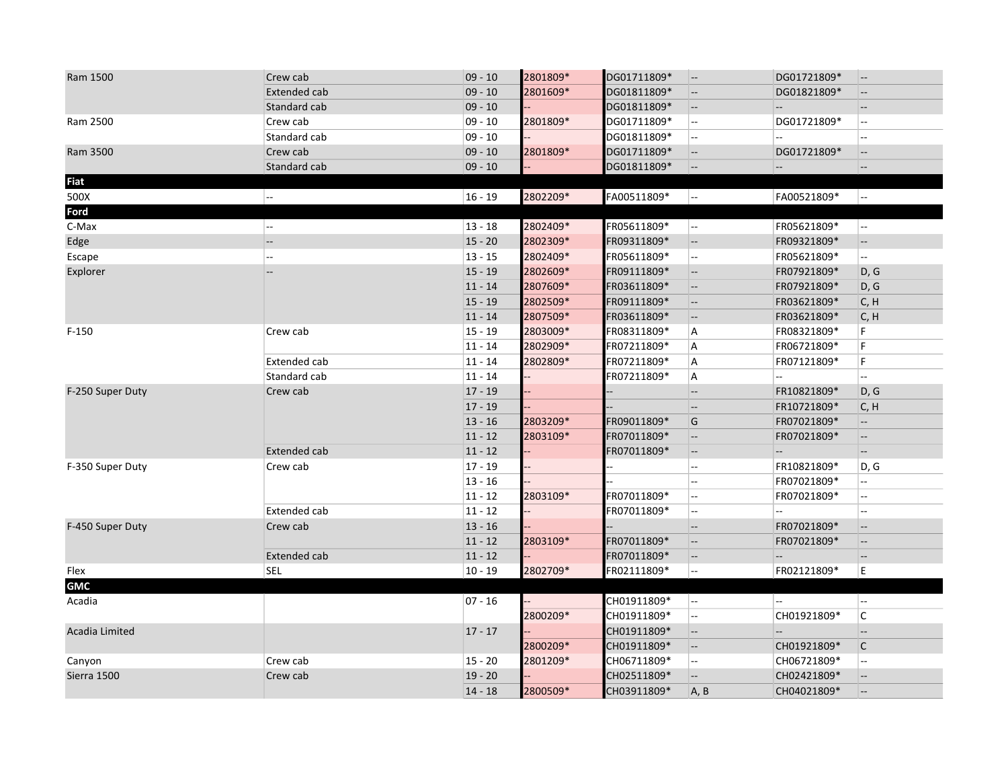| Ram 1500         | Crew cab                 | $09 - 10$ | 2801809* | DG01711809* | $\overline{\phantom{a}}$ | DG01721809*              | $\overline{\phantom{a}}$  |
|------------------|--------------------------|-----------|----------|-------------|--------------------------|--------------------------|---------------------------|
|                  | <b>Extended cab</b>      | $09 - 10$ | 2801609* | DG01811809* | $\overline{\phantom{a}}$ | DG01821809*              | $\overline{\phantom{a}}$  |
|                  | Standard cab             | $09 - 10$ |          | DG01811809* | $-$                      |                          | $\qquad \qquad -$         |
| Ram 2500         | Crew cab                 | $09 - 10$ | 2801809* | DG01711809* | $\overline{\phantom{a}}$ | DG01721809*              | н.                        |
|                  | Standard cab             | $09 - 10$ |          | DG01811809* |                          |                          | $\overline{a}$            |
| Ram 3500         | Crew cab                 | $09 - 10$ | 2801809* | DG01711809* | $\overline{\phantom{a}}$ | DG01721809*              | $\overline{\phantom{a}}$  |
|                  | Standard cab             | $09 - 10$ |          | DG01811809* | $\overline{\phantom{a}}$ | $\sim$                   | $\overline{\phantom{a}}$  |
| <b>Fiat</b>      |                          |           |          |             |                          |                          |                           |
| 500X             | Ξ.                       | $16 - 19$ | 2802209* | FA00511809* | --                       | FA00521809*              | $\overline{\phantom{a}}$  |
| Ford             |                          |           |          |             |                          |                          |                           |
| C-Max            | $\overline{\phantom{a}}$ | $13 - 18$ | 2802409* | FR05611809* | --                       | FR05621809*              | $\mathbb{H}^{\mathbb{H}}$ |
| Edge             | $- -$                    | $15 - 20$ | 2802309* | FR09311809* | $-$                      | FR09321809*              | н,                        |
| Escape           | Ξ.                       | $13 - 15$ | 2802409* | FR05611809* | $\overline{\phantom{a}}$ | FR05621809*              | щ.                        |
| Explorer         | $\overline{a}$           | $15 - 19$ | 2802609* | FR09111809* | $-$                      | FR07921809*              | D, G                      |
|                  |                          | $11 - 14$ | 2807609* | FR03611809* | $- -$                    | FR07921809*              | D, G                      |
|                  |                          | $15 - 19$ | 2802509* | FR09111809* | $ \overline{ }$          | FR03621809*              | C, H                      |
|                  |                          | $11 - 14$ | 2807509* | FR03611809* | $ \sim$                  | FR03621809*              | C, H                      |
| $F-150$          | Crew cab                 | $15 - 19$ | 2803009* | FR08311809* | A                        | FR08321809*              | F.                        |
|                  |                          | $11 - 14$ | 2802909* | FR07211809* | A                        | FR06721809*              | F                         |
|                  | <b>Extended cab</b>      | $11 - 14$ | 2802809* | FR07211809* | A                        | FR07121809*              | F                         |
|                  | Standard cab             | $11 - 14$ |          | FR07211809* | A                        |                          | --                        |
| F-250 Super Duty | Crew cab                 | $17 - 19$ |          |             | $-$                      | FR10821809*              | D, G                      |
|                  |                          | $17 - 19$ |          |             | $ \overline{ }$          | FR10721809*              | C, H                      |
|                  |                          | $13 - 16$ | 2803209* | FR09011809* | G                        | FR07021809*              | Щ.                        |
|                  |                          | $11 - 12$ | 2803109* | FR07011809* | $-$                      | FR07021809*              | $\overline{\phantom{a}}$  |
|                  | Extended cab             | $11 - 12$ |          | FR07011809* | $\overline{\phantom{a}}$ | $\overline{\phantom{a}}$ |                           |
| F-350 Super Duty | Crew cab                 | $17 - 19$ |          |             | ц.                       | FR10821809*              | D, G                      |
|                  |                          | $13 - 16$ |          |             | $\overline{\phantom{a}}$ | FR07021809*              | --                        |
|                  |                          | $11 - 12$ | 2803109* | FR07011809* | $\sim$                   | FR07021809*              | н.                        |
|                  | Extended cab             | $11 - 12$ |          | FR07011809* | $\overline{\phantom{a}}$ |                          |                           |
| F-450 Super Duty | Crew cab                 | $13 - 16$ |          |             | $\overline{\phantom{a}}$ | FR07021809*              | $\overline{\phantom{a}}$  |
|                  |                          | $11 - 12$ | 2803109* | FR07011809* | $ \overline{ }$          | FR07021809*              | $\overline{\phantom{a}}$  |
|                  | Extended cab             | $11 - 12$ |          | FR07011809* | $-$                      | $\sim$                   |                           |
| Flex             | <b>SEL</b>               | $10 - 19$ | 2802709* | FR02111809* | ш.                       | FR02121809*              | E                         |
| <b>GMC</b>       |                          |           |          |             |                          |                          |                           |
| Acadia           |                          | $07 - 16$ |          | CH01911809* | Ξ.                       |                          | --                        |
|                  |                          |           | 2800209* | CH01911809* | $\overline{\phantom{a}}$ | CH01921809*              | $\mathsf{C}$              |
| Acadia Limited   |                          | $17 - 17$ |          | CH01911809* | $-$                      | $\overline{\phantom{a}}$ | --                        |
|                  |                          |           | 2800209* | CH01911809* | $-$                      | CH01921809*              | $\mathsf{C}$              |
| Canyon           | Crew cab                 | $15 - 20$ | 2801209* | CH06711809* | $\overline{\phantom{a}}$ | CH06721809*              | Щ.                        |
| Sierra 1500      | Crew cab                 | $19 - 20$ |          | CH02511809* |                          | CH02421809*              | $\overline{\phantom{a}}$  |
|                  |                          | $14 - 18$ | 2800509* | CH03911809* | A, B                     | CH04021809*              | $\overline{\phantom{a}}$  |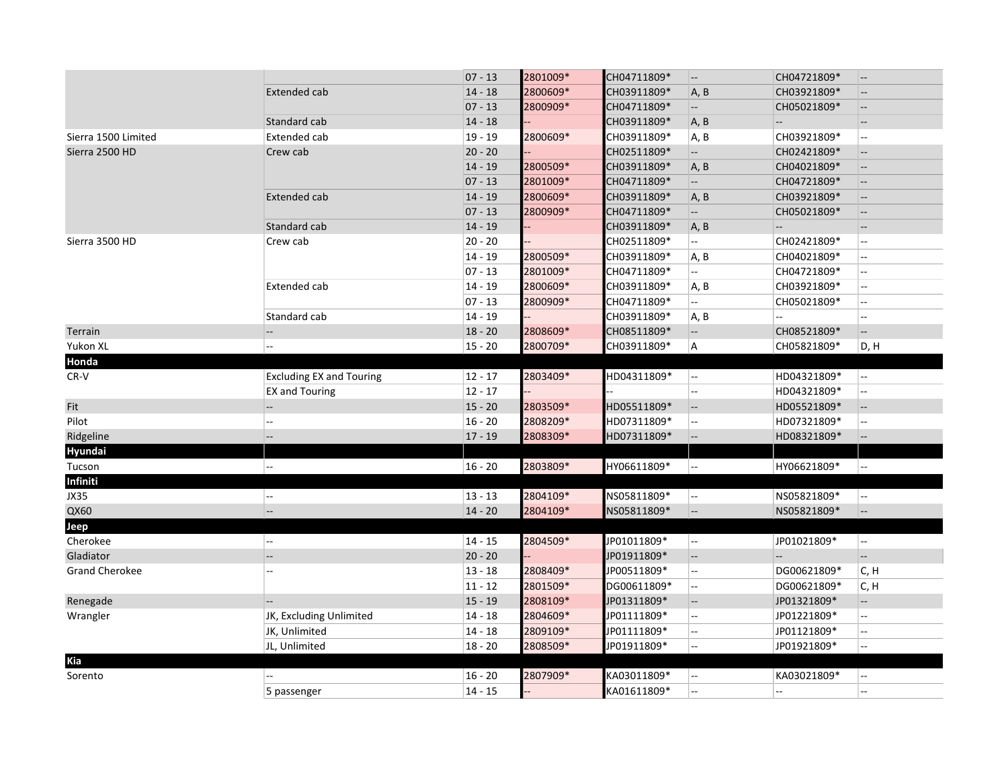|                       |                                 | $07 - 13$ | 2801009* | CH04711809* | --                       | CH04721809*               | $-$                                                 |
|-----------------------|---------------------------------|-----------|----------|-------------|--------------------------|---------------------------|-----------------------------------------------------|
|                       | <b>Extended cab</b>             | $14 - 18$ | 2800609* | CH03911809* | A, B                     | CH03921809*               | $\overline{\phantom{a}}$                            |
|                       |                                 | $07 - 13$ | 2800909* | CH04711809* | $\overline{\phantom{a}}$ | CH05021809*               | $\overline{\phantom{a}}$                            |
|                       | Standard cab                    | $14 - 18$ |          | CH03911809* | A, B                     | $\overline{\phantom{a}}$  | $\overline{\phantom{a}}$                            |
| Sierra 1500 Limited   | Extended cab                    | $19 - 19$ | 2800609* | CH03911809* | A, B                     | CH03921809*               | $\overline{\phantom{a}}$                            |
| Sierra 2500 HD        | Crew cab                        | $20 - 20$ |          | CH02511809* | $\overline{\phantom{a}}$ | CH02421809*               | $\overline{\phantom{a}}$                            |
|                       |                                 | $14 - 19$ | 2800509* | CH03911809* | A, B                     | CH04021809*               | $\hspace{0.05cm} -\hspace{0.05cm} -\hspace{0.05cm}$ |
|                       |                                 | $07 - 13$ | 2801009* | CH04711809* | $ \sim$                  | CH04721809*               | $\overline{\phantom{a}}$                            |
|                       | <b>Extended cab</b>             | $14 - 19$ | 2800609* | CH03911809* | A, B                     | CH03921809*               | $-$                                                 |
|                       |                                 | $07 - 13$ | 2800909* | CH04711809* | $\sim$                   | CH05021809*               | $-$                                                 |
|                       | Standard cab                    | $14 - 19$ |          | CH03911809* | A, B                     | $\overline{\phantom{a}}$  | $\overline{\phantom{a}}$                            |
| Sierra 3500 HD        | Crew cab                        | $20 - 20$ |          | CH02511809* | u.                       | CH02421809*               | $\overline{a}$                                      |
|                       |                                 | $14 - 19$ | 2800509* | CH03911809* | A, B                     | CH04021809*               | $\overline{\phantom{a}}$                            |
|                       |                                 | $07 - 13$ | 2801009* | CH04711809* | $\overline{a}$           | CH04721809*               | $\overline{a}$                                      |
|                       | <b>Extended cab</b>             | $14 - 19$ | 2800609* | CH03911809* | A, B                     | CH03921809*               | $\sim$                                              |
|                       |                                 | $07 - 13$ | 2800909* | CH04711809* | ω.                       | CH05021809*               | $\overline{\phantom{a}}$                            |
|                       | Standard cab                    | $14 - 19$ |          | CH03911809* | A, B                     |                           | $\overline{\phantom{a}}$                            |
| Terrain               | --                              | $18 - 20$ | 2808609* | CH08511809* | $\overline{\phantom{a}}$ | CH08521809*               | $\overline{\phantom{a}}$                            |
| Yukon XL              | --                              | $15 - 20$ | 2800709* | CH03911809* | $\sf A$                  | CH05821809*               | D, H                                                |
| Honda                 |                                 |           |          |             |                          |                           |                                                     |
| CR-V                  | <b>Excluding EX and Touring</b> | $12 - 17$ | 2803409* | HD04311809* | $\overline{\phantom{a}}$ | HD04321809*               | u.                                                  |
|                       | EX and Touring                  | $12 - 17$ |          |             | $\overline{a}$           | HD04321809*               | $\sim$                                              |
| Fit                   | --                              | $15 - 20$ | 2803509* | HD05511809* | $\overline{\phantom{a}}$ | HD05521809*               | $\overline{\phantom{a}}$                            |
| Pilot                 | --                              | $16 - 20$ | 2808209* | HD07311809* | $\overline{\phantom{a}}$ | HD07321809*               | Ξ.                                                  |
| Ridgeline             | $\overline{\phantom{a}}$        | $17 - 19$ | 2808309* | HD07311809* | $-$                      | HD08321809*               | $\hspace{0.05cm} -\hspace{0.05cm} -\hspace{0.05cm}$ |
| Hyundai               |                                 |           |          |             |                          |                           |                                                     |
| Tucson                | ۰.                              | $16 - 20$ | 2803809* | HY06611809* | $\overline{\phantom{a}}$ | HY06621809*               | 4                                                   |
| Infiniti              |                                 |           |          |             |                          |                           |                                                     |
| JX35                  | --                              | $13 - 13$ | 2804109* | NS05811809* | $\overline{\phantom{a}}$ | NS05821809*               | $\mathbb{L}^{\mathbb{L}}$                           |
| QX60                  | $\overline{\phantom{a}}$        | $14 - 20$ | 2804109* | NS05811809* | --                       | NS05821809*               | $\overline{\phantom{a}}$                            |
| Jeep                  |                                 |           |          |             |                          |                           |                                                     |
| Cherokee              | $\overline{\phantom{a}}$        | $14 - 15$ | 2804509* | JP01011809* | --                       | JP01021809*               | $\sim$                                              |
| Gladiator             | $-$                             | $20 - 20$ |          | JP01911809* | $ \sim$                  | $\mathbb{L}^{\mathbb{L}}$ | $\overline{\phantom{a}}$                            |
| <b>Grand Cherokee</b> |                                 | $13 - 18$ | 2808409* | JP00511809* | Ξ.                       | DG00621809*               | C, H                                                |
|                       |                                 | $11 - 12$ | 2801509* | DG00611809* | $\overline{\phantom{a}}$ | DG00621809*               | C, H                                                |
| Renegade              |                                 | $15 - 19$ | 2808109* | JP01311809* | $\overline{\phantom{a}}$ | JP01321809*               | $\overline{\phantom{a}}$                            |
| Wrangler              | JK, Excluding Unlimited         | $14 - 18$ | 2804609* | JP01111809* | Ξ.                       | JP01221809*               | Ξ.                                                  |
|                       | JK, Unlimited                   | $14 - 18$ | 2809109* | JP01111809* | $\overline{a}$           | JP01121809*               | $\sim$                                              |
|                       | JL, Unlimited                   | $18 - 20$ | 2808509* | JP01911809* | цц.                      | JP01921809*               | Ξ.                                                  |
| Kia                   |                                 |           |          |             |                          |                           |                                                     |
| Sorento               |                                 | $16 - 20$ | 2807909* | KA03011809* | Ξ.                       | KA03021809*               | $\overline{\phantom{a}}$                            |
|                       | 5 passenger                     | $14 - 15$ |          | KA01611809* | $\overline{\phantom{a}}$ | $\sim$                    | $\overline{\phantom{a}}$                            |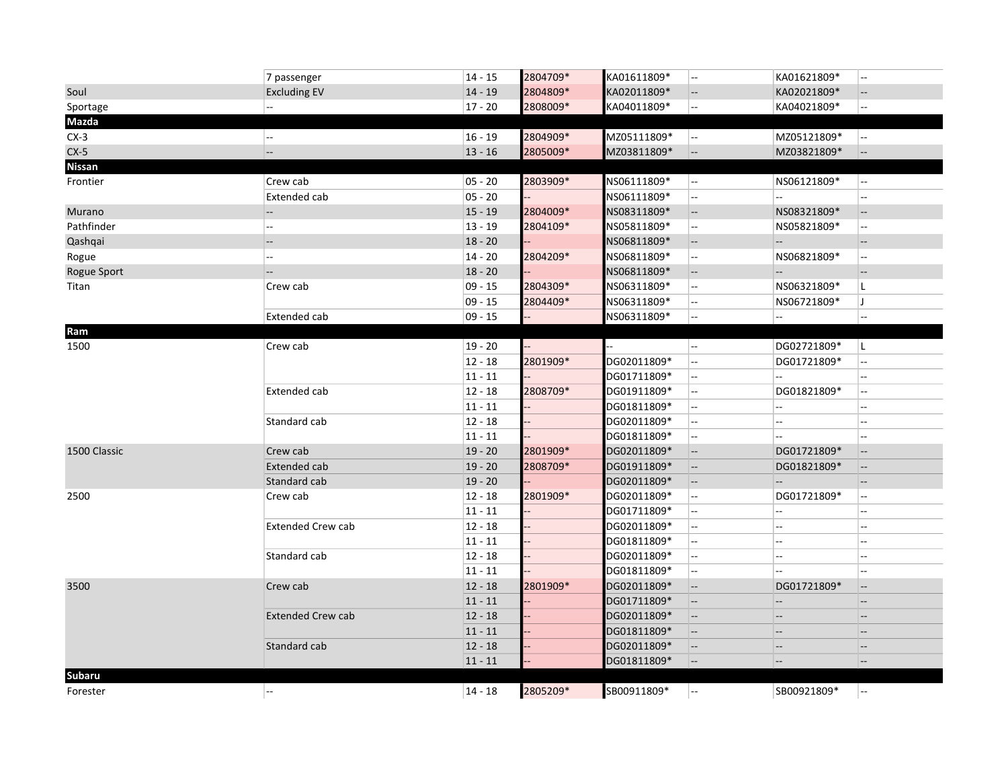|               | 7 passenger              | $14 - 15$ | 2804709* | KA01611809* | $\overline{a}$           | KA01621809*              | $\overline{\phantom{a}}$                            |
|---------------|--------------------------|-----------|----------|-------------|--------------------------|--------------------------|-----------------------------------------------------|
| Soul          | <b>Excluding EV</b>      | $14 - 19$ | 2804809* | KA02011809* | $\qquad \qquad -$        | KA02021809*              | $\overline{\phantom{a}}$                            |
| Sportage      |                          | $17 - 20$ | 2808009* | KA04011809* | u.                       | KA04021809*              | ц.                                                  |
| Mazda         |                          |           |          |             |                          |                          |                                                     |
| $CX-3$        | $\sim$                   | $16 - 19$ | 2804909* | MZ05111809* | $ \sim$                  | MZ05121809*              | --                                                  |
| $CX-5$        | $\overline{\phantom{a}}$ | $13 - 16$ | 2805009* | MZ03811809* | --                       | MZ03821809*              | --                                                  |
| <b>Nissan</b> |                          |           |          |             |                          |                          |                                                     |
| Frontier      | Crew cab                 | $05 - 20$ | 2803909* | NS06111809* | $\overline{\phantom{a}}$ | NS06121809*              | Ξ.                                                  |
|               | Extended cab             | $05 - 20$ |          | NS06111809* | --                       |                          | --                                                  |
| Murano        |                          | $15 - 19$ | 2804009* | NS08311809* | $-$                      | NS08321809*              | $\overline{\phantom{a}}$                            |
| Pathfinder    |                          | $13 - 19$ | 2804109* | NS05811809* | $\overline{\phantom{a}}$ | NS05821809*              | --                                                  |
| Qashqai       |                          | $18 - 20$ |          | NS06811809* | $\overline{\phantom{a}}$ | $-$                      |                                                     |
| Rogue         |                          | $14 - 20$ | 2804209* | NS06811809* | $\overline{\phantom{a}}$ | NS06821809*              | --                                                  |
| Rogue Sport   |                          | $18 - 20$ |          | NS06811809* | $\overline{\phantom{a}}$ | $\overline{\phantom{a}}$ | $\overline{\phantom{a}}$                            |
| Titan         | Crew cab                 | $09 - 15$ | 2804309* | NS06311809* | $\overline{\phantom{a}}$ | NS06321809*              | L.                                                  |
|               |                          | $09 - 15$ | 2804409* | NS06311809* | Ξ.                       | NS06721809*              | IJ.                                                 |
|               | Extended cab             | $09 - 15$ |          | NS06311809* | --                       | --                       | $\overline{\phantom{a}}$                            |
| Ram           |                          |           |          |             |                          |                          |                                                     |
| 1500          | Crew cab                 | $19 - 20$ |          |             | --                       | DG02721809*              | IL.                                                 |
|               |                          | $12 - 18$ | 2801909* | DG02011809* | Ξ.                       | DG01721809*              | --                                                  |
|               |                          | $11 - 11$ |          | DG01711809* | цц.                      | Щ.                       | ÷.                                                  |
|               | Extended cab             | $12 - 18$ | 2808709* | DG01911809* | --                       | DG01821809*              | н.                                                  |
|               |                          | $11 - 11$ |          | DG01811809* | Щ.                       | Щ,                       | ц.                                                  |
|               | Standard cab             | $12 - 18$ |          | DG02011809* | $\overline{\phantom{a}}$ | --                       | н.                                                  |
|               |                          | $11 - 11$ |          | DG01811809* | Ξ.                       |                          |                                                     |
| 1500 Classic  | Crew cab                 | $19 - 20$ | 2801909* | DG02011809* | $\overline{\phantom{a}}$ | DG01721809*              | $\overline{\phantom{a}}$                            |
|               | <b>Extended cab</b>      | $19 - 20$ | 2808709* | DG01911809* | $-$                      | DG01821809*              | --                                                  |
|               | Standard cab             | $19 - 20$ |          | DG02011809* | $-$                      | $\overline{\phantom{a}}$ | $\hspace{0.05cm} -\hspace{0.05cm} -\hspace{0.05cm}$ |
| 2500          | Crew cab                 | $12 - 18$ | 2801909* | DG02011809* | ω.                       | DG01721809*              | --                                                  |
|               |                          | $11 - 11$ |          | DG01711809* | цц.                      | Щ.                       | --                                                  |
|               | <b>Extended Crew cab</b> | $12 - 18$ |          | DG02011809* | --                       | ÷÷.                      | ц,                                                  |
|               |                          | $11 - 11$ |          | DG01811809* | --                       | ÷÷.                      | ц,                                                  |
|               | Standard cab             | $12 - 18$ |          | DG02011809* | --                       | --                       | ц,                                                  |
|               |                          | $11 - 11$ |          | DG01811809* | $\overline{\phantom{a}}$ |                          | --                                                  |
| 3500          | Crew cab                 | $12 - 18$ | 2801909* | DG02011809* | $-$                      | DG01721809*              | $\overline{\phantom{a}}$                            |
|               |                          | $11 - 11$ |          | DG01711809* | $-$                      | $- -$                    | $\overline{\phantom{a}}$                            |
|               | <b>Extended Crew cab</b> | $12 - 18$ |          | DG02011809* | $-$                      | $\overline{\phantom{a}}$ | $\hspace{0.05cm} -\hspace{0.05cm} -\hspace{0.05cm}$ |
|               |                          | $11 - 11$ |          | DG01811809* | $-$                      | --                       | $\overline{\phantom{a}}$                            |
|               | Standard cab             | $12 - 18$ |          | DG02011809* | $-$                      | $-$                      | $\overline{\phantom{a}}$                            |
|               |                          | $11 - 11$ |          | DG01811809* | --                       | --                       | $\overline{\phantom{a}}$                            |
| Subaru        |                          |           |          |             |                          |                          |                                                     |
| Forester      | $\overline{a}$           | $14 - 18$ | 2805209* | SB00911809* | $\overline{\phantom{a}}$ | SB00921809*              |                                                     |